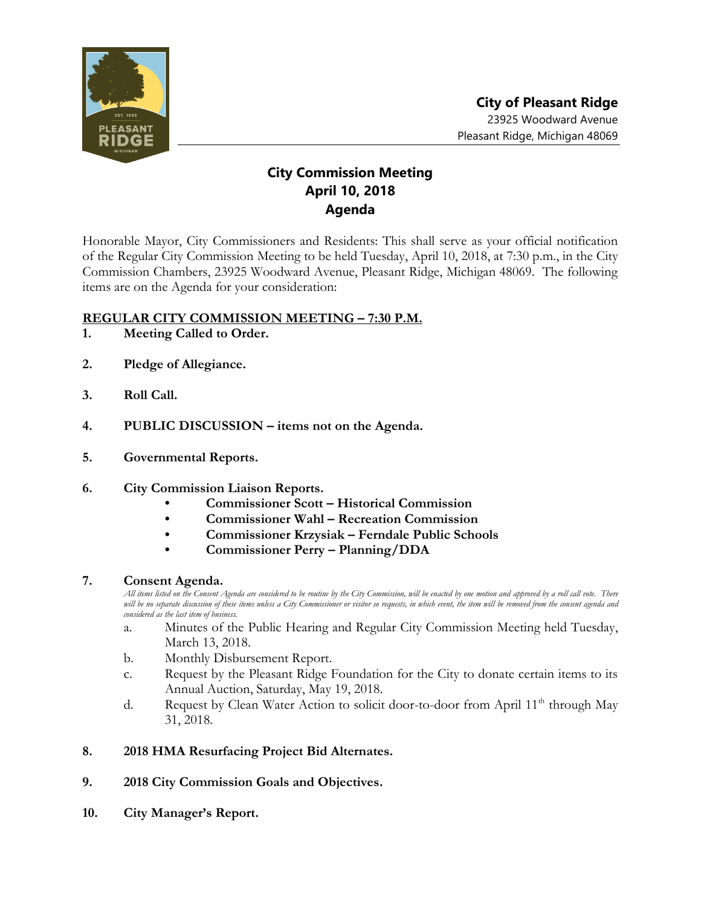

## **City Commission Meeting April 10, 2018 Agenda**

Honorable Mayor, City Commissioners and Residents: This shall serve as your official notification of the Regular City Commission Meeting to be held Tuesday, April 10, 2018, at 7:30 p.m., in the City Commission Chambers, 23925 Woodward Avenue, Pleasant Ridge, Michigan 48069. The following items are on the Agenda for your consideration:

## **REGULAR CITY COMMISSION MEETING – 7:30 P.M.**

- **1. Meeting Called to Order.**
- **2. Pledge of Allegiance.**
- **3. Roll Call.**
- **4. PUBLIC DISCUSSION – items not on the Agenda.**
- **5. Governmental Reports.**
- **6. City Commission Liaison Reports.**
	- **• Commissioner Scott – Historical Commission**
	- **• Commissioner Wahl – Recreation Commission**
	- **• Commissioner Krzysiak – Ferndale Public Schools**
	- **• Commissioner Perry – Planning/DDA**

## **7. Consent Agenda.**

*All items listed on the Consent Agenda are considered to be routine by the City Commission, will be enacted by one motion and approved by a roll call vote. There will be no separate discussion of these items unless a City Commissioner or visitor so requests, in which event, the item will be removed from the consent agenda and considered as the last item of business.*

- a. Minutes of the Public Hearing and Regular City Commission Meeting held Tuesday, March 13, 2018.
- b. Monthly Disbursement Report.
- c. Request by the Pleasant Ridge Foundation for the City to donate certain items to its Annual Auction, Saturday, May 19, 2018.
- d. Request by Clean Water Action to solicit door-to-door from April  $11<sup>th</sup>$  through May 31, 2018.

## **8. 2018 HMA Resurfacing Project Bid Alternates.**

- **9. 2018 City Commission Goals and Objectives.**
- **10. City Manager's Report.**